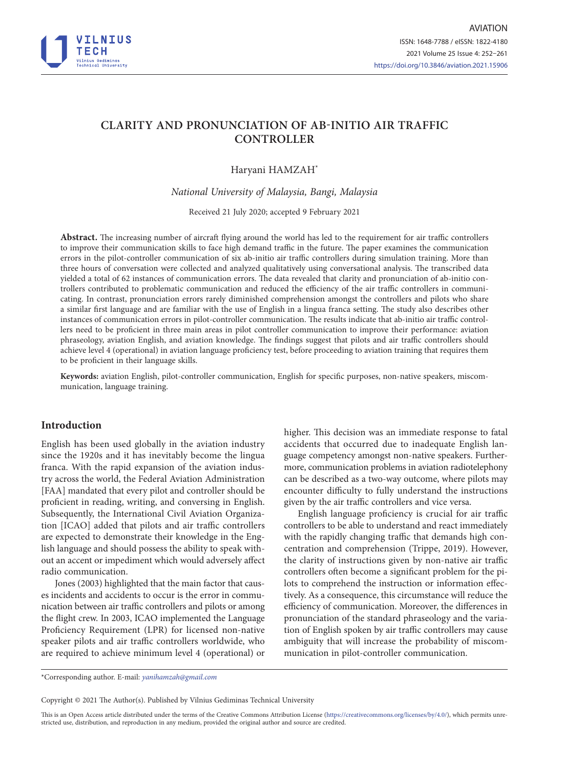

# **CLARITY AND PRONUNCIATION OF AB-INITIO AIR TRAFFIC CONTROLLER**

## Haryani HAMZAH\*

*National University of Malaysia, Bangi, Malaysia*

Received 21 July 2020; accepted 9 February 2021

**Abstract.** The increasing number of aircraft flying around the world has led to the requirement for air traffic controllers to improve their communication skills to face high demand traffic in the future. The paper examines the communication errors in the pilot-controller communication of six ab-initio air traffic controllers during simulation training. More than three hours of conversation were collected and analyzed qualitatively using conversational analysis. The transcribed data yielded a total of 62 instances of communication errors. The data revealed that clarity and pronunciation of ab-initio controllers contributed to problematic communication and reduced the efficiency of the air traffic controllers in communicating. In contrast, pronunciation errors rarely diminished comprehension amongst the controllers and pilots who share a similar first language and are familiar with the use of English in a lingua franca setting. The study also describes other instances of communication errors in pilot-controller communication. The results indicate that ab-initio air traffic controllers need to be proficient in three main areas in pilot controller communication to improve their performance: aviation phraseology, aviation English, and aviation knowledge. The findings suggest that pilots and air traffic controllers should achieve level 4 (operational) in aviation language proficiency test, before proceeding to aviation training that requires them to be proficient in their language skills.

**Keywords:** aviation English, pilot-controller communication, English for specific purposes, non-native speakers, miscommunication, language training.

## **Introduction**

English has been used globally in the aviation industry since the 1920s and it has inevitably become the lingua franca. With the rapid expansion of the aviation industry across the world, the Federal Aviation Administration [FAA] mandated that every pilot and controller should be proficient in reading, writing, and conversing in English. Subsequently, the International Civil Aviation Organization [ICAO] added that pilots and air traffic controllers are expected to demonstrate their knowledge in the English language and should possess the ability to speak without an accent or impediment which would adversely affect radio communication.

Jones (2003) highlighted that the main factor that causes incidents and accidents to occur is the error in communication between air traffic controllers and pilots or among the flight crew. In 2003, ICAO implemented the Language Proficiency Requirement (LPR) for licensed non-native speaker pilots and air traffic controllers worldwide, who are required to achieve minimum level 4 (operational) or higher. This decision was an immediate response to fatal accidents that occurred due to inadequate English language competency amongst non-native speakers. Furthermore, communication problems in aviation radiotelephony can be described as a two-way outcome, where pilots may encounter difficulty to fully understand the instructions given by the air traffic controllers and vice versa.

English language proficiency is crucial for air traffic controllers to be able to understand and react immediately with the rapidly changing traffic that demands high concentration and comprehension (Trippe, 2019). However, the clarity of instructions given by non-native air traffic controllers often become a significant problem for the pilots to comprehend the instruction or information effectively. As a consequence, this circumstance will reduce the efficiency of communication. Moreover, the differences in pronunciation of the standard phraseology and the variation of English spoken by air traffic controllers may cause ambiguity that will increase the probability of miscommunication in pilot-controller communication.

\*Corresponding author. E-mail: *yanihamzah@gmail.com*

Copyright © 2021 The Author(s). Published by Vilnius Gediminas Technical University

This is an Open Access article distributed under the terms of the Creative Commons Attribution License [\(https://creativecommons.org/licenses/by/4.0/\)](http://creativecommons.org/licenses/by/4.0/), which permits unrestricted use, distribution, and reproduction in any medium, provided the original author and source are credited.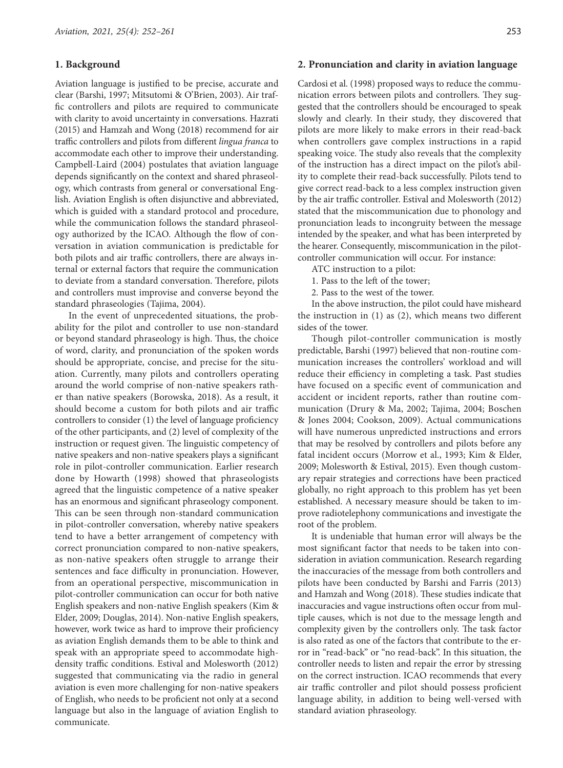#### **1. Background**

Aviation language is justified to be precise, accurate and clear (Barshi, 1997; Mitsutomi & O'Brien, 2003). Air traffic controllers and pilots are required to communicate with clarity to avoid uncertainty in conversations. Hazrati (2015) and Hamzah and Wong (2018) recommend for air traffic controllers and pilots from different *lingua franca* to accommodate each other to improve their understanding. Campbell-Laird (2004) postulates that aviation language depends significantly on the context and shared phraseology, which contrasts from general or conversational English. Aviation English is often disjunctive and abbreviated, which is guided with a standard protocol and procedure, while the communication follows the standard phraseology authorized by the ICAO. Although the flow of conversation in aviation communication is predictable for both pilots and air traffic controllers, there are always internal or external factors that require the communication to deviate from a standard conversation. Therefore, pilots and controllers must improvise and converse beyond the standard phraseologies (Tajima, 2004).

In the event of unprecedented situations, the probability for the pilot and controller to use non-standard or beyond standard phraseology is high. Thus, the choice of word, clarity, and pronunciation of the spoken words should be appropriate, concise, and precise for the situation. Currently, many pilots and controllers operating around the world comprise of non-native speakers rather than native speakers (Borowska, 2018). As a result, it should become a custom for both pilots and air traffic controllers to consider (1) the level of language proficiency of the other participants, and (2) level of complexity of the instruction or request given. The linguistic competency of native speakers and non-native speakers plays a significant role in pilot-controller communication. Earlier research done by Howarth (1998) showed that phraseologists agreed that the linguistic competence of a native speaker has an enormous and significant phraseology component. This can be seen through non-standard communication in pilot-controller conversation, whereby native speakers tend to have a better arrangement of competency with correct pronunciation compared to non-native speakers, as non-native speakers often struggle to arrange their sentences and face difficulty in pronunciation. However, from an operational perspective, miscommunication in pilot-controller communication can occur for both native English speakers and non-native English speakers (Kim & Elder, 2009; Douglas, 2014). Non-native English speakers, however, work twice as hard to improve their proficiency as aviation English demands them to be able to think and speak with an appropriate speed to accommodate highdensity traffic conditions. Estival and Molesworth (2012) suggested that communicating via the radio in general aviation is even more challenging for non-native speakers of English, who needs to be proficient not only at a second language but also in the language of aviation English to communicate.

#### **2. Pronunciation and clarity in aviation language**

Cardosi et al. (1998) proposed ways to reduce the communication errors between pilots and controllers. They suggested that the controllers should be encouraged to speak slowly and clearly. In their study, they discovered that pilots are more likely to make errors in their read-back when controllers gave complex instructions in a rapid speaking voice. The study also reveals that the complexity of the instruction has a direct impact on the pilot's ability to complete their read-back successfully. Pilots tend to give correct read-back to a less complex instruction given by the air traffic controller. Estival and Molesworth (2012) stated that the miscommunication due to phonology and pronunciation leads to incongruity between the message intended by the speaker, and what has been interpreted by the hearer. Consequently, miscommunication in the pilotcontroller communication will occur. For instance:

- ATC instruction to a pilot:
- 1. Pass to the left of the tower;
- 2. Pass to the west of the tower.

In the above instruction, the pilot could have misheard the instruction in (1) as (2), which means two different sides of the tower.

Though pilot-controller communication is mostly predictable, Barshi (1997) believed that non-routine communication increases the controllers' workload and will reduce their efficiency in completing a task. Past studies have focused on a specific event of communication and accident or incident reports, rather than routine communication (Drury & Ma, 2002; Tajima, 2004; Boschen & Jones 2004; Cookson, 2009). Actual communications will have numerous unpredicted instructions and errors that may be resolved by controllers and pilots before any fatal incident occurs (Morrow et al., 1993; Kim & Elder, 2009; Molesworth & Estival, 2015). Even though customary repair strategies and corrections have been practiced globally, no right approach to this problem has yet been established. A necessary measure should be taken to improve radiotelephony communications and investigate the root of the problem.

It is undeniable that human error will always be the most significant factor that needs to be taken into consideration in aviation communication. Research regarding the inaccuracies of the message from both controllers and pilots have been conducted by Barshi and Farris (2013) and Hamzah and Wong (2018). These studies indicate that inaccuracies and vague instructions often occur from multiple causes, which is not due to the message length and complexity given by the controllers only. The task factor is also rated as one of the factors that contribute to the error in "read-back" or "no read-back". In this situation, the controller needs to listen and repair the error by stressing on the correct instruction. ICAO recommends that every air traffic controller and pilot should possess proficient language ability, in addition to being well-versed with standard aviation phraseology.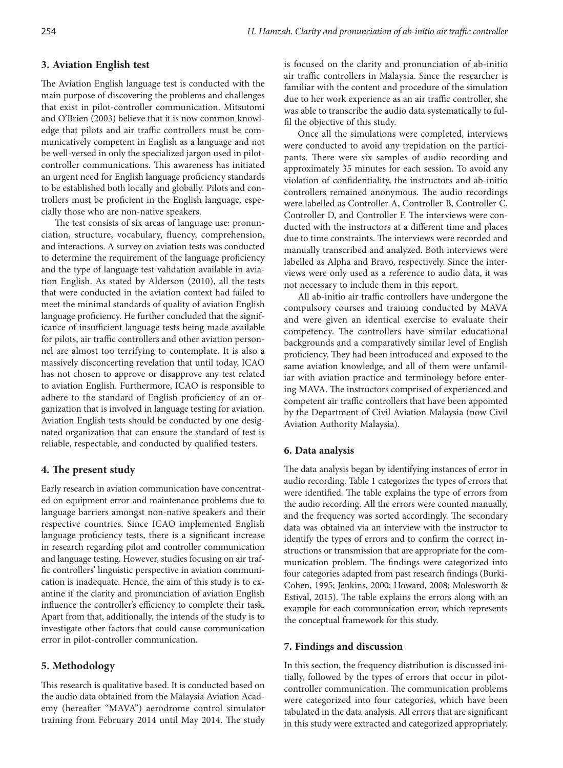## **3. Aviation English test**

The Aviation English language test is conducted with the main purpose of discovering the problems and challenges that exist in pilot-controller communication. Mitsutomi and O'Brien (2003) believe that it is now common knowledge that pilots and air traffic controllers must be communicatively competent in English as a language and not be well-versed in only the specialized jargon used in pilotcontroller communications. This awareness has initiated an urgent need for English language proficiency standards to be established both locally and globally. Pilots and controllers must be proficient in the English language, especially those who are non-native speakers.

The test consists of six areas of language use: pronunciation, structure, vocabulary, fluency, comprehension, and interactions. A survey on aviation tests was conducted to determine the requirement of the language proficiency and the type of language test validation available in aviation English. As stated by Alderson (2010), all the tests that were conducted in the aviation context had failed to meet the minimal standards of quality of aviation English language proficiency. He further concluded that the significance of insufficient language tests being made available for pilots, air traffic controllers and other aviation personnel are almost too terrifying to contemplate. It is also a massively disconcerting revelation that until today, ICAO has not chosen to approve or disapprove any test related to aviation English. Furthermore, ICAO is responsible to adhere to the standard of English proficiency of an organization that is involved in language testing for aviation. Aviation English tests should be conducted by one designated organization that can ensure the standard of test is reliable, respectable, and conducted by qualified testers.

## **4. The present study**

Early research in aviation communication have concentrated on equipment error and maintenance problems due to language barriers amongst non-native speakers and their respective countries. Since ICAO implemented English language proficiency tests, there is a significant increase in research regarding pilot and controller communication and language testing. However, studies focusing on air traffic controllers' linguistic perspective in aviation communication is inadequate. Hence, the aim of this study is to examine if the clarity and pronunciation of aviation English influence the controller's efficiency to complete their task. Apart from that, additionally, the intends of the study is to investigate other factors that could cause communication error in pilot-controller communication.

## **5. Methodology**

This research is qualitative based. It is conducted based on the audio data obtained from the Malaysia Aviation Academy (hereafter "MAVA") aerodrome control simulator training from February 2014 until May 2014. The study is focused on the clarity and pronunciation of ab-initio air traffic controllers in Malaysia. Since the researcher is familiar with the content and procedure of the simulation due to her work experience as an air traffic controller, she was able to transcribe the audio data systematically to fulfil the objective of this study.

Once all the simulations were completed, interviews were conducted to avoid any trepidation on the participants. There were six samples of audio recording and approximately 35 minutes for each session. To avoid any violation of confidentiality, the instructors and ab-initio controllers remained anonymous. The audio recordings were labelled as Controller A, Controller B, Controller C, Controller D, and Controller F. The interviews were conducted with the instructors at a different time and places due to time constraints. The interviews were recorded and manually transcribed and analyzed. Both interviews were labelled as Alpha and Bravo, respectively. Since the interviews were only used as a reference to audio data, it was not necessary to include them in this report.

All ab-initio air traffic controllers have undergone the compulsory courses and training conducted by MAVA and were given an identical exercise to evaluate their competency. The controllers have similar educational backgrounds and a comparatively similar level of English proficiency. They had been introduced and exposed to the same aviation knowledge, and all of them were unfamiliar with aviation practice and terminology before entering MAVA. The instructors comprised of experienced and competent air traffic controllers that have been appointed by the Department of Civil Aviation Malaysia (now Civil Aviation Authority Malaysia).

#### **6. Data analysis**

The data analysis began by identifying instances of error in audio recording. Table 1 categorizes the types of errors that were identified. The table explains the type of errors from the audio recording. All the errors were counted manually, and the frequency was sorted accordingly. The secondary data was obtained via an interview with the instructor to identify the types of errors and to confirm the correct instructions or transmission that are appropriate for the communication problem. The findings were categorized into four categories adapted from past research findings (Burki-Cohen, 1995; Jenkins, 2000; Howard, 2008; Molesworth & Estival, 2015). The table explains the errors along with an example for each communication error, which represents the conceptual framework for this study.

#### **7. Findings and discussion**

In this section, the frequency distribution is discussed initially, followed by the types of errors that occur in pilotcontroller communication. The communication problems were categorized into four categories, which have been tabulated in the data analysis. All errors that are significant in this study were extracted and categorized appropriately.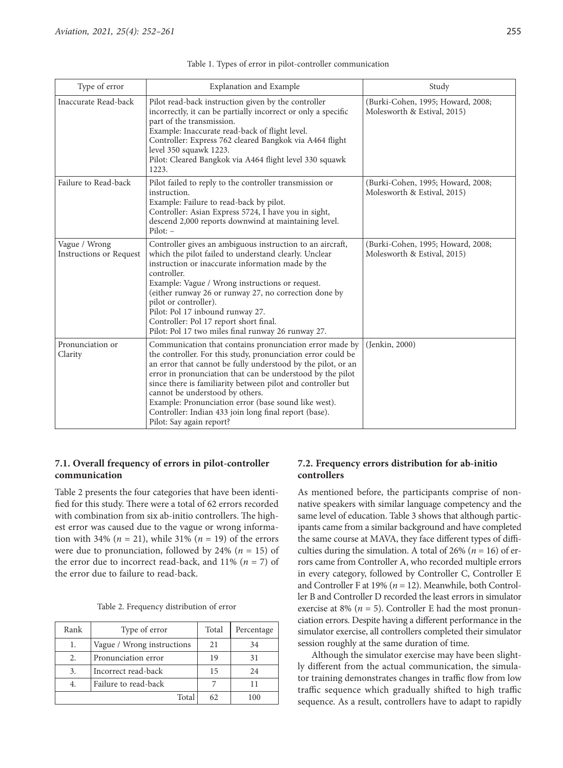| Type of error                                   | <b>Explanation and Example</b>                                                                                                                                                                                                                                                                                                                                                                                                                                                                       | Study                                                            |
|-------------------------------------------------|------------------------------------------------------------------------------------------------------------------------------------------------------------------------------------------------------------------------------------------------------------------------------------------------------------------------------------------------------------------------------------------------------------------------------------------------------------------------------------------------------|------------------------------------------------------------------|
| Inaccurate Read-back                            | Pilot read-back instruction given by the controller<br>incorrectly, it can be partially incorrect or only a specific<br>part of the transmission.<br>Example: Inaccurate read-back of flight level.<br>Controller: Express 762 cleared Bangkok via A464 flight<br>level 350 squawk 1223.<br>Pilot: Cleared Bangkok via A464 flight level 330 squawk<br>1223.                                                                                                                                         | (Burki-Cohen, 1995; Howard, 2008;<br>Molesworth & Estival, 2015) |
| Failure to Read-back                            | Pilot failed to reply to the controller transmission or<br>instruction.<br>Example: Failure to read-back by pilot.<br>Controller: Asian Express 5724, I have you in sight,<br>descend 2,000 reports downwind at maintaining level.<br>$Pilot: -$                                                                                                                                                                                                                                                     | (Burki-Cohen, 1995; Howard, 2008;<br>Molesworth & Estival, 2015) |
| Vague / Wrong<br><b>Instructions or Request</b> | Controller gives an ambiguous instruction to an aircraft,<br>which the pilot failed to understand clearly. Unclear<br>instruction or inaccurate information made by the<br>controller.<br>Example: Vague / Wrong instructions or request.<br>(either runway 26 or runway 27, no correction done by<br>pilot or controller).<br>Pilot: Pol 17 inbound runway 27.<br>Controller: Pol 17 report short final.<br>Pilot: Pol 17 two miles final runway 26 runway 27.                                      | (Burki-Cohen, 1995; Howard, 2008;<br>Molesworth & Estival, 2015) |
| Pronunciation or<br>Clarity                     | Communication that contains pronunciation error made by<br>the controller. For this study, pronunciation error could be<br>an error that cannot be fully understood by the pilot, or an<br>error in pronunciation that can be understood by the pilot<br>since there is familiarity between pilot and controller but<br>cannot be understood by others.<br>Example: Pronunciation error (base sound like west).<br>Controller: Indian 433 join long final report (base).<br>Pilot: Say again report? | (Jenkin, 2000)                                                   |

## **7.1. Overall frequency of errors in pilot-controller communication**

Table 2 presents the four categories that have been identified for this study. There were a total of 62 errors recorded with combination from six ab-initio controllers. The highest error was caused due to the vague or wrong information with 34% ( $n = 21$ ), while 31% ( $n = 19$ ) of the errors were due to pronunciation, followed by 24% ( $n = 15$ ) of the error due to incorrect read-back, and  $11\%$  ( $n = 7$ ) of the error due to failure to read-back.

|  | Table 2. Frequency distribution of error |  |
|--|------------------------------------------|--|
|--|------------------------------------------|--|

| Rank | Type of error              | Total | Percentage |
|------|----------------------------|-------|------------|
| 1.   | Vague / Wrong instructions | 21    | 34         |
| 2.   | Pronunciation error        | 19    | 31         |
| 3.   | Incorrect read-back        | 15    | 24         |
| 4.   | Failure to read-back       |       | 11         |
|      | Total                      |       | 100        |

## **7.2. Frequency errors distribution for ab-initio controllers**

As mentioned before, the participants comprise of nonnative speakers with similar language competency and the same level of education. Table 3 shows that although participants came from a similar background and have completed the same course at MAVA, they face different types of difficulties during the simulation. A total of  $26\%$  ( $n = 16$ ) of errors came from Controller A, who recorded multiple errors in every category, followed by Controller C, Controller E and Controller F at 19% (*n* = 12). Meanwhile, both Controller B and Controller D recorded the least errors in simulator exercise at 8% ( $n = 5$ ). Controller E had the most pronunciation errors. Despite having a different performance in the simulator exercise, all controllers completed their simulator session roughly at the same duration of time.

Although the simulator exercise may have been slightly different from the actual communication, the simulator training demonstrates changes in traffic flow from low traffic sequence which gradually shifted to high traffic sequence. As a result, controllers have to adapt to rapidly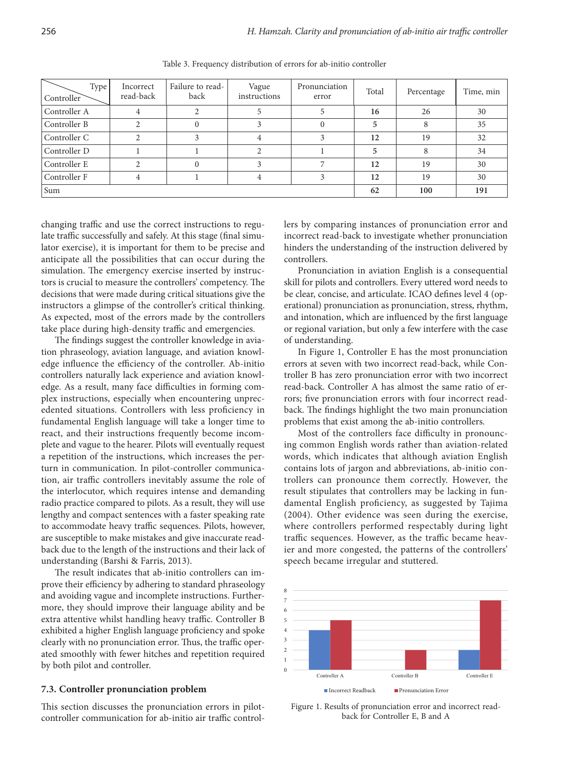| Type<br>Controller | Incorrect<br>read-back | Failure to read-<br>back | Vague<br>instructions | Pronunciation<br>error | Total | Percentage | Time, min |
|--------------------|------------------------|--------------------------|-----------------------|------------------------|-------|------------|-----------|
| Controller A       | 4                      |                          |                       |                        | 16    | 26         | 30        |
| Controller B       |                        |                          |                       |                        | 5     | 8          | 35        |
| Controller C       |                        |                          | 4                     |                        | 12    | 19         | 32        |
| Controller D       |                        |                          |                       |                        |       | 8          | 34        |
| Controller E       |                        |                          |                       |                        | 12    | 19         | 30        |
| Controller F       | 4                      |                          |                       |                        | 12    | 19         | 30        |
| Sum                |                        |                          |                       |                        | 62    | 100        | 191       |

Table 3. Frequency distribution of errors for ab-initio controller

changing traffic and use the correct instructions to regulate traffic successfully and safely. At this stage (final simulator exercise), it is important for them to be precise and anticipate all the possibilities that can occur during the simulation. The emergency exercise inserted by instructors is crucial to measure the controllers' competency. The decisions that were made during critical situations give the instructors a glimpse of the controller's critical thinking. As expected, most of the errors made by the controllers take place during high-density traffic and emergencies.

The findings suggest the controller knowledge in aviation phraseology, aviation language, and aviation knowledge influence the efficiency of the controller. Ab-initio controllers naturally lack experience and aviation knowledge. As a result, many face difficulties in forming complex instructions, especially when encountering unprecedented situations. Controllers with less proficiency in fundamental English language will take a longer time to react, and their instructions frequently become incomplete and vague to the hearer. Pilots will eventually request a repetition of the instructions, which increases the perturn in communication. In pilot-controller communication, air traffic controllers inevitably assume the role of the interlocutor, which requires intense and demanding radio practice compared to pilots. As a result, they will use lengthy and compact sentences with a faster speaking rate to accommodate heavy traffic sequences. Pilots, however, are susceptible to make mistakes and give inaccurate readback due to the length of the instructions and their lack of understanding (Barshi & Farris, 2013).

The result indicates that ab-initio controllers can improve their efficiency by adhering to standard phraseology and avoiding vague and incomplete instructions. Furthermore, they should improve their language ability and be extra attentive whilst handling heavy traffic. Controller B exhibited a higher English language proficiency and spoke clearly with no pronunciation error. Thus, the traffic operated smoothly with fewer hitches and repetition required by both pilot and controller.

## **7.3. Controller pronunciation problem**

This section discusses the pronunciation errors in pilotcontroller communication for ab-initio air traffic controllers by comparing instances of pronunciation error and incorrect read-back to investigate whether pronunciation hinders the understanding of the instruction delivered by controllers.

Pronunciation in aviation English is a consequential skill for pilots and controllers. Every uttered word needs to be clear, concise, and articulate. ICAO defines level 4 (operational) pronunciation as pronunciation, stress, rhythm, and intonation, which are influenced by the first language or regional variation, but only a few interfere with the case of understanding.

In Figure 1, Controller E has the most pronunciation errors at seven with two incorrect read-back, while Controller B has zero pronunciation error with two incorrect read-back. Controller A has almost the same ratio of errors; five pronunciation errors with four incorrect readback. The findings highlight the two main pronunciation problems that exist among the ab-initio controllers.

Most of the controllers face difficulty in pronouncing common English words rather than aviation-related words, which indicates that although aviation English contains lots of jargon and abbreviations, ab-initio controllers can pronounce them correctly. However, the result stipulates that controllers may be lacking in fundamental English proficiency, as suggested by Tajima (2004). Other evidence was seen during the exercise, where controllers performed respectably during light traffic sequences. However, as the traffic became heavier and more congested, the patterns of the controllers' speech became irregular and stuttered.



Figure 1. Results of pronunciation error and incorrect readback for Controller E, B and A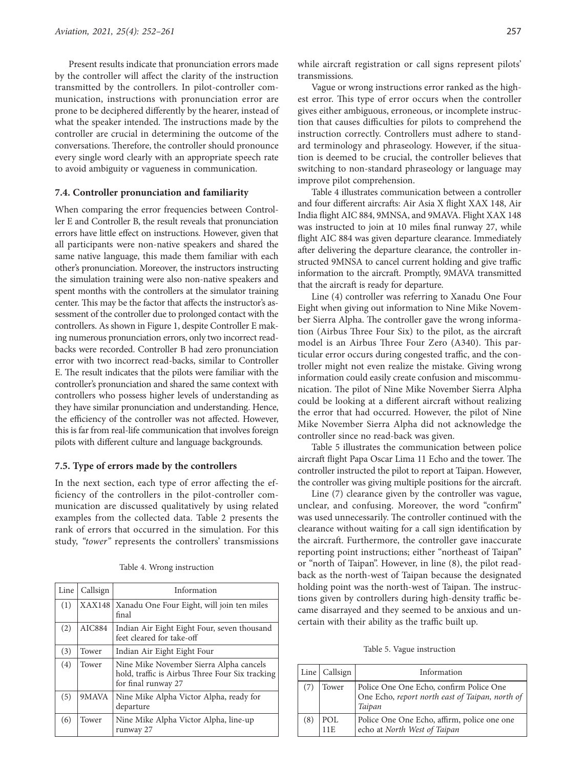Present results indicate that pronunciation errors made by the controller will affect the clarity of the instruction transmitted by the controllers. In pilot-controller communication, instructions with pronunciation error are prone to be deciphered differently by the hearer, instead of what the speaker intended. The instructions made by the controller are crucial in determining the outcome of the conversations. Therefore, the controller should pronounce every single word clearly with an appropriate speech rate to avoid ambiguity or vagueness in communication.

#### **7.4. Controller pronunciation and familiarity**

When comparing the error frequencies between Controller E and Controller B, the result reveals that pronunciation errors have little effect on instructions. However, given that all participants were non-native speakers and shared the same native language, this made them familiar with each other's pronunciation. Moreover, the instructors instructing the simulation training were also non-native speakers and spent months with the controllers at the simulator training center. This may be the factor that affects the instructor's assessment of the controller due to prolonged contact with the controllers. As shown in Figure 1, despite Controller E making numerous pronunciation errors, only two incorrect readbacks were recorded. Controller B had zero pronunciation error with two incorrect read-backs, similar to Controller E. The result indicates that the pilots were familiar with the controller's pronunciation and shared the same context with controllers who possess higher levels of understanding as they have similar pronunciation and understanding. Hence, the efficiency of the controller was not affected. However, this is far from real-life communication that involves foreign pilots with different culture and language backgrounds.

#### **7.5. Type of errors made by the controllers**

In the next section, each type of error affecting the efficiency of the controllers in the pilot-controller communication are discussed qualitatively by using related examples from the collected data. Table 2 presents the rank of errors that occurred in the simulation. For this study, "tower" represents the controllers' transmissions

| Line | Callsign | Information                                                                                                       |
|------|----------|-------------------------------------------------------------------------------------------------------------------|
| (1)  | XAX148   | Xanadu One Four Eight, will join ten miles<br>final                                                               |
| (2)  | AIC884   | Indian Air Eight Eight Four, seven thousand<br>feet cleared for take-off                                          |
| (3)  | Tower    | Indian Air Eight Eight Four                                                                                       |
| (4)  | Tower    | Nine Mike November Sierra Alpha cancels<br>hold, traffic is Airbus Three Four Six tracking<br>for final runway 27 |
| (5)  | 9MAVA    | Nine Mike Alpha Victor Alpha, ready for<br>departure                                                              |
| (6)  | Tower    | Nine Mike Alpha Victor Alpha, line-up<br>runway 27                                                                |

Table 4. Wrong instruction

while aircraft registration or call signs represent pilots' transmissions.

Vague or wrong instructions error ranked as the highest error. This type of error occurs when the controller gives either ambiguous, erroneous, or incomplete instruction that causes difficulties for pilots to comprehend the instruction correctly. Controllers must adhere to standard terminology and phraseology. However, if the situation is deemed to be crucial, the controller believes that switching to non-standard phraseology or language may improve pilot comprehension.

Table 4 illustrates communication between a controller and four different aircrafts: Air Asia X flight XAX 148, Air India flight AIC 884, 9MNSA, and 9MAVA. Flight XAX 148 was instructed to join at 10 miles final runway 27, while flight AIC 884 was given departure clearance. Immediately after delivering the departure clearance, the controller instructed 9MNSA to cancel current holding and give traffic information to the aircraft. Promptly, 9MAVA transmitted that the aircraft is ready for departure.

Line (4) controller was referring to Xanadu One Four Eight when giving out information to Nine Mike November Sierra Alpha. The controller gave the wrong information (Airbus Three Four Six) to the pilot, as the aircraft model is an Airbus Three Four Zero (A340). This particular error occurs during congested traffic, and the controller might not even realize the mistake. Giving wrong information could easily create confusion and miscommunication. The pilot of Nine Mike November Sierra Alpha could be looking at a different aircraft without realizing the error that had occurred. However, the pilot of Nine Mike November Sierra Alpha did not acknowledge the controller since no read-back was given.

Table 5 illustrates the communication between police aircraft flight Papa Oscar Lima 11 Echo and the tower. The controller instructed the pilot to report at Taipan. However, the controller was giving multiple positions for the aircraft.

Line (7) clearance given by the controller was vague, unclear, and confusing. Moreover, the word "confirm" was used unnecessarily. The controller continued with the clearance without waiting for a call sign identification by the aircraft. Furthermore, the controller gave inaccurate reporting point instructions; either "northeast of Taipan" or "north of Taipan". However, in line (8), the pilot readback as the north-west of Taipan because the designated holding point was the north-west of Taipan. The instructions given by controllers during high-density traffic became disarrayed and they seemed to be anxious and uncertain with their ability as the traffic built up.

Table 5. Vague instruction

|     | Line $\vert$ Callsign | Information                                                                                          |
|-----|-----------------------|------------------------------------------------------------------------------------------------------|
| (7) | Tower                 | Police One One Echo, confirm Police One<br>One Echo, report north east of Taipan, north of<br>Taipan |
| (8) | POL<br>11 E           | Police One One Echo, affirm, police one one<br>echo at North West of Taipan                          |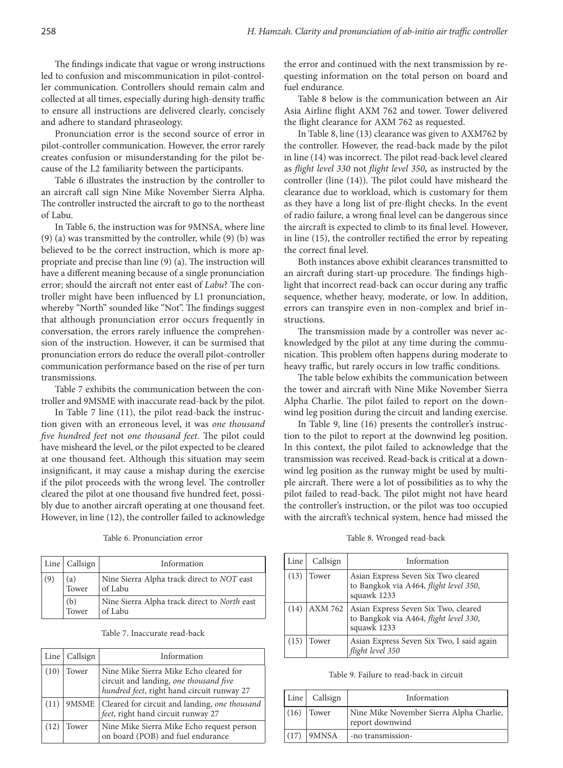The findings indicate that vague or wrong instructions led to confusion and miscommunication in pilot-controller communication. Controllers should remain calm and collected at all times, especially during high-density traffic to ensure all instructions are delivered clearly, concisely and adhere to standard phraseology.

Pronunciation error is the second source of error in pilot-controller communication. However, the error rarely creates confusion or misunderstanding for the pilot because of the L2 familiarity between the participants.

Table 6 illustrates the instruction by the controller to an aircraft call sign Nine Mike November Sierra Alpha. The controller instructed the aircraft to go to the northeast of Labu.

In Table 6, the instruction was for 9MNSA, where line (9) (a) was transmitted by the controller, while (9) (b) was believed to be the correct instruction, which is more appropriate and precise than line (9) (a). The instruction will have a different meaning because of a single pronunciation error; should the aircraft not enter east of *Labu*? The controller might have been influenced by L1 pronunciation, whereby "North" sounded like "Not". The findings suggest that although pronunciation error occurs frequently in conversation, the errors rarely influence the comprehension of the instruction. However, it can be surmised that pronunciation errors do reduce the overall pilot-controller communication performance based on the rise of per turn transmissions.

Table 7 exhibits the communication between the controller and 9MSME with inaccurate read-back by the pilot.

In Table 7 line (11), the pilot read-back the instruction given with an erroneous level, it was *one thousand five hundred feet* not *one thousand feet*. The pilot could have misheard the level, or the pilot expected to be cleared at one thousand feet. Although this situation may seem insignificant, it may cause a mishap during the exercise if the pilot proceeds with the wrong level. The controller cleared the pilot at one thousand five hundred feet, possibly due to another aircraft operating at one thousand feet. However, in line (12), the controller failed to acknowledge

Table 6. Pronunciation error

|     | Line   Callsign | Information                                             |
|-----|-----------------|---------------------------------------------------------|
| (9) | (a)<br>Tower    | Nine Sierra Alpha track direct to NOT east<br>of Labu   |
|     | (b)<br>Tower    | Nine Sierra Alpha track direct to North east<br>of Labu |

Table 7. Inaccurate read-back

|      | Line $\vert$ Callsign | Information                                                                                                                    |
|------|-----------------------|--------------------------------------------------------------------------------------------------------------------------------|
| (10) | Tower                 | Nine Mike Sierra Mike Echo cleared for<br>circuit and landing, one thousand five<br>hundred feet, right hand circuit runway 27 |
| (11) | 9MSME                 | Cleared for circuit and landing, one thousand<br>feet, right hand circuit runway 27                                            |
| (12) | Tower                 | Nine Mike Sierra Mike Echo request person<br>on board (POB) and fuel endurance                                                 |

the error and continued with the next transmission by requesting information on the total person on board and fuel endurance.

Table 8 below is the communication between an Air Asia Airline flight AXM 762 and tower. Tower delivered the flight clearance for AXM 762 as requested.

In Table 8, line (13) clearance was given to AXM762 by the controller. However, the read-back made by the pilot in line (14) was incorrect. The pilot read-back level cleared as *flight level 330* not *flight level 350,* as instructed by the controller (line (14)). The pilot could have misheard the clearance due to workload, which is customary for them as they have a long list of pre-flight checks. In the event of radio failure, a wrong final level can be dangerous since the aircraft is expected to climb to its final level. However, in line (15), the controller rectified the error by repeating the correct final level.

Both instances above exhibit clearances transmitted to an aircraft during start-up procedure. The findings highlight that incorrect read-back can occur during any traffic sequence, whether heavy, moderate, or low. In addition, errors can transpire even in non-complex and brief instructions.

The transmission made by a controller was never acknowledged by the pilot at any time during the communication. This problem often happens during moderate to heavy traffic, but rarely occurs in low traffic conditions.

The table below exhibits the communication between the tower and aircraft with Nine Mike November Sierra Alpha Charlie. The pilot failed to report on the downwind leg position during the circuit and landing exercise.

In Table 9, line (16) presents the controller's instruction to the pilot to report at the downwind leg position. In this context, the pilot failed to acknowledge that the transmission was received. Read-back is critical at a downwind leg position as the runway might be used by multiple aircraft. There were a lot of possibilities as to why the pilot failed to read-back. The pilot might not have heard the controller's instruction, or the pilot was too occupied with the aircraft's technical system, hence had missed the

Table 8. Wronged read-back

| Line | Callsign | Information                                                                                   |
|------|----------|-----------------------------------------------------------------------------------------------|
| (13) | Tower    | Asian Express Seven Six Two cleared<br>to Bangkok via A464, flight level 350,<br>squawk 1233  |
| (14) | AXM 762  | Asian Express Seven Six Two, cleared<br>to Bangkok via A464, flight level 330,<br>squawk 1233 |
| (15) | Tower    | Asian Express Seven Six Two, I said again<br>flight level 350                                 |

|  |  |  | Table 9. Failure to read-back in circuit |  |  |  |
|--|--|--|------------------------------------------|--|--|--|
|--|--|--|------------------------------------------|--|--|--|

|      | Line   Callsign | Information                                                 |
|------|-----------------|-------------------------------------------------------------|
| (16) | Tower           | Nine Mike November Sierra Alpha Charlie,<br>report downwind |
| (17) | 9MNSA           | -no transmission-                                           |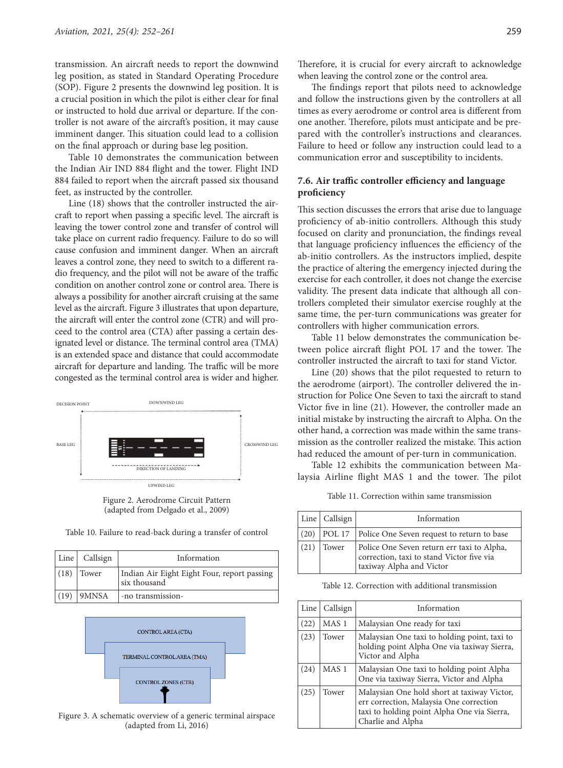transmission. An aircraft needs to report the downwind leg position, as stated in Standard Operating Procedure (SOP). Figure 2 presents the downwind leg position. It is a crucial position in which the pilot is either clear for final or instructed to hold due arrival or departure. If the controller is not aware of the aircraft's position, it may cause imminent danger. This situation could lead to a collision on the final approach or during base leg position.

Table 10 demonstrates the communication between the Indian Air IND 884 flight and the tower. Flight IND 884 failed to report when the aircraft passed six thousand feet, as instructed by the controller.

Line (18) shows that the controller instructed the aircraft to report when passing a specific level. The aircraft is leaving the tower control zone and transfer of control will take place on current radio frequency. Failure to do so will cause confusion and imminent danger. When an aircraft leaves a control zone, they need to switch to a different radio frequency, and the pilot will not be aware of the traffic condition on another control zone or control area. There is always a possibility for another aircraft cruising at the same level as the aircraft. Figure 3 illustrates that upon departure, the aircraft will enter the control zone (CTR) and will proceed to the control area (CTA) after passing a certain designated level or distance. The terminal control area (TMA) is an extended space and distance that could accommodate aircraft for departure and landing. The traffic will be more congested as the terminal control area is wider and higher.



Figure 2. Aerodrome Circuit Pattern (adapted from Delgado et al., 2009)

|      | Line   Callsign | Information                                                 |
|------|-----------------|-------------------------------------------------------------|
| (18) | Tower           | Indian Air Eight Eight Four, report passing<br>six thousand |
| (19) | 9MNSA           | -no transmission-                                           |



Figure 3. A schematic overview of a generic terminal airspace (adapted from Li, 2016)

Therefore, it is crucial for every aircraft to acknowledge when leaving the control zone or the control area.

The findings report that pilots need to acknowledge and follow the instructions given by the controllers at all times as every aerodrome or control area is different from one another. Therefore, pilots must anticipate and be prepared with the controller's instructions and clearances. Failure to heed or follow any instruction could lead to a communication error and susceptibility to incidents.

## **7.6. Air traffic controller efficiency and language proficiency**

This section discusses the errors that arise due to language proficiency of ab-initio controllers. Although this study focused on clarity and pronunciation, the findings reveal that language proficiency influences the efficiency of the ab-initio controllers. As the instructors implied, despite the practice of altering the emergency injected during the exercise for each controller, it does not change the exercise validity. The present data indicate that although all controllers completed their simulator exercise roughly at the same time, the per-turn communications was greater for controllers with higher communication errors.

Table 11 below demonstrates the communication between police aircraft flight POL 17 and the tower. The controller instructed the aircraft to taxi for stand Victor.

Line (20) shows that the pilot requested to return to the aerodrome (airport). The controller delivered the instruction for Police One Seven to taxi the aircraft to stand Victor five in line (21). However, the controller made an initial mistake by instructing the aircraft to Alpha. On the other hand, a correction was made within the same transmission as the controller realized the mistake. This action had reduced the amount of per-turn in communication.

Table 12 exhibits the communication between Malaysia Airline flight MAS 1 and the tower. The pilot

Table 11. Correction within same transmission

|      | Line   Callsign | Information                                                                                                         |
|------|-----------------|---------------------------------------------------------------------------------------------------------------------|
| (20) |                 | <b>POL 17</b> Police One Seven request to return to base                                                            |
| (21) | Tower           | Police One Seven return err taxi to Alpha,<br>correction, taxi to stand Victor five via<br>taxiway Alpha and Victor |

Table 12. Correction with additional transmission

| Line | Callsign         | Information                                                                                                                                                |
|------|------------------|------------------------------------------------------------------------------------------------------------------------------------------------------------|
| (22) | MAS <sub>1</sub> | Malaysian One ready for taxi                                                                                                                               |
| (23) | Tower            | Malaysian One taxi to holding point, taxi to<br>holding point Alpha One via taxiway Sierra,<br>Victor and Alpha                                            |
| (24) | MAS <sub>1</sub> | Malaysian One taxi to holding point Alpha<br>One via taxiway Sierra, Victor and Alpha                                                                      |
| (25) | Tower            | Malaysian One hold short at taxiway Victor,<br>err correction, Malaysia One correction<br>taxi to holding point Alpha One via Sierra,<br>Charlie and Alpha |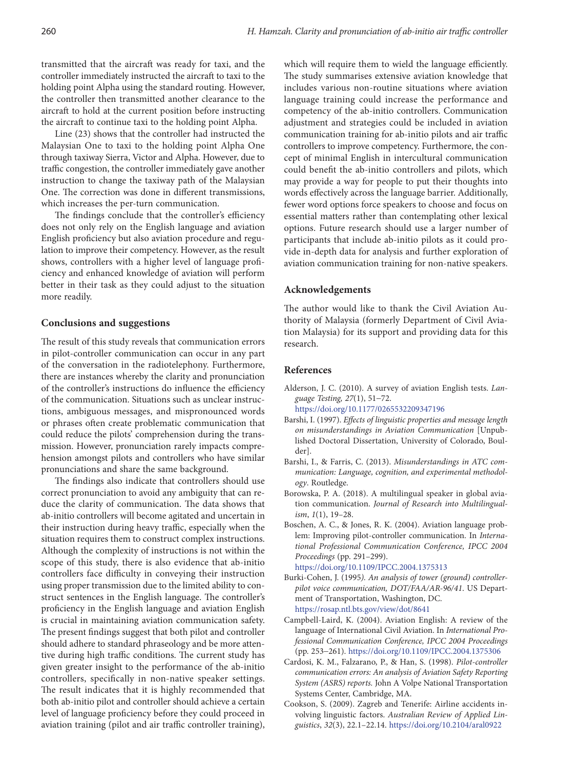transmitted that the aircraft was ready for taxi, and the controller immediately instructed the aircraft to taxi to the holding point Alpha using the standard routing. However, the controller then transmitted another clearance to the aircraft to hold at the current position before instructing the aircraft to continue taxi to the holding point Alpha.

Line (23) shows that the controller had instructed the Malaysian One to taxi to the holding point Alpha One through taxiway Sierra, Victor and Alpha. However, due to traffic congestion, the controller immediately gave another instruction to change the taxiway path of the Malaysian One. The correction was done in different transmissions, which increases the per-turn communication.

The findings conclude that the controller's efficiency does not only rely on the English language and aviation English proficiency but also aviation procedure and regulation to improve their competency. However, as the result shows, controllers with a higher level of language proficiency and enhanced knowledge of aviation will perform better in their task as they could adjust to the situation more readily.

#### **Conclusions and suggestions**

The result of this study reveals that communication errors in pilot-controller communication can occur in any part of the conversation in the radiotelephony. Furthermore, there are instances whereby the clarity and pronunciation of the controller's instructions do influence the efficiency of the communication. Situations such as unclear instructions, ambiguous messages, and mispronounced words or phrases often create problematic communication that could reduce the pilots' comprehension during the transmission. However, pronunciation rarely impacts comprehension amongst pilots and controllers who have similar pronunciations and share the same background.

The findings also indicate that controllers should use correct pronunciation to avoid any ambiguity that can reduce the clarity of communication. The data shows that ab-initio controllers will become agitated and uncertain in their instruction during heavy traffic, especially when the situation requires them to construct complex instructions. Although the complexity of instructions is not within the scope of this study, there is also evidence that ab-initio controllers face difficulty in conveying their instruction using proper transmission due to the limited ability to construct sentences in the English language. The controller's proficiency in the English language and aviation English is crucial in maintaining aviation communication safety. The present findings suggest that both pilot and controller should adhere to standard phraseology and be more attentive during high traffic conditions. The current study has given greater insight to the performance of the ab-initio controllers, specifically in non-native speaker settings. The result indicates that it is highly recommended that both ab-initio pilot and controller should achieve a certain level of language proficiency before they could proceed in aviation training (pilot and air traffic controller training),

which will require them to wield the language efficiently. The study summarises extensive aviation knowledge that includes various non-routine situations where aviation language training could increase the performance and competency of the ab-initio controllers. Communication adjustment and strategies could be included in aviation communication training for ab-initio pilots and air traffic controllers to improve competency. Furthermore, the concept of minimal English in intercultural communication could benefit the ab-initio controllers and pilots, which may provide a way for people to put their thoughts into words effectively across the language barrier. Additionally, fewer word options force speakers to choose and focus on essential matters rather than contemplating other lexical options. Future research should use a larger number of participants that include ab-initio pilots as it could provide in-depth data for analysis and further exploration of aviation communication training for non-native speakers.

#### **Acknowledgements**

The author would like to thank the Civil Aviation Authority of Malaysia (formerly Department of Civil Aviation Malaysia) for its support and providing data for this research.

### **References**

- Alderson, J. C. (2010). A survey of aviation English tests. *Language Testing, 27*(1), 51-72.
	- <https://doi.org/10.1177/0265532209347196>
- Barshi, I. (1997). *Effects of linguistic properties and message length on misunderstandings in Aviation Communication* [Unpublished Doctoral Dissertation, University of Colorado, Boulder].
- Barshi, I., & Farris, C. (2013). *Misunderstandings in ATC communication: Language, cognition, and experimental methodology*. Routledge.
- Borowska, P. A. (2018). A multilingual speaker in global aviation communication. *Journal of Research into Multilingualism*, *1*(1), 19–28.
- Boschen, A. C., & Jones, R. K. (2004). Aviation language problem: Improving pilot-controller communication. In *International Professional Communication Conference, IPCC 2004 Proceedings* (pp. 291–299).

- Burki-Cohen, J. (1995*). An analysis of tower (ground) controllerpilot voice communication, DOT/FAA/AR-96/41*. US Department of Transportation, Washington, DC. <https://rosap.ntl.bts.gov/view/dot/8641>
- Campbell-Laird, K. (2004). Aviation English: A review of the language of International Civil Aviation. In *International Professional Communication Conference, IPCC 2004 Proceedings* (pp. 253-261). <https://doi.org/10.1109/IPCC.2004.1375306>
- Cardosi, K. M., Falzarano, P., & Han, S. (1998). *Pilot-controller communication errors: An analysis of Aviation Safety Reporting System (ASRS) reports.* John A Volpe National Transportation Systems Center, Cambridge, MA.
- Cookson, S. (2009). Zagreb and Tenerife: Airline accidents involving linguistic factors. *Australian Review of Applied Linguistics*, *32*(3), 22.1–22.14. <https://doi.org/10.2104/aral0922>

<https://doi.org/10.1109/IPCC.2004.1375313>